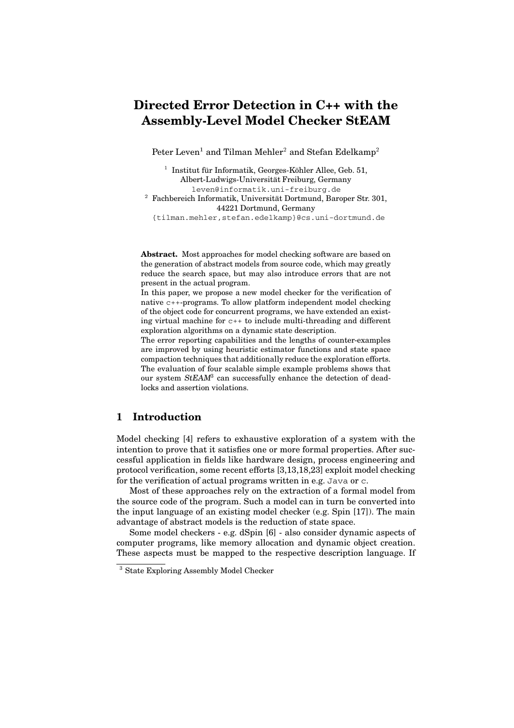# **Directed Error Detection in C++ with the Assembly-Level Model Checker StEAM**

Peter Leven $^{\rm l}$  and Tilman Mehler $^{\rm 2}$  and Stefan Edelkamp $^{\rm 2}$ 

<sup>1</sup> Institut für Informatik, Georges-Köhler Allee, Geb. 51, Albert-Ludwigs-Universität Freiburg, Germany leven@informatik.uni-freiburg.de

<sup>2</sup> Fachbereich Informatik, Universität Dortmund, Baroper Str. 301, 44221 Dortmund, Germany

{tilman.mehler,stefan.edelkamp}@cs.uni-dortmund.de

**Abstract.** Most approaches for model checking software are based on the generation of abstract models from source code, which may greatly reduce the search space, but may also introduce errors that are not present in the actual program.

In this paper, we propose a new model checker for the verification of native c++-programs. To allow platform independent model checking of the object code for concurrent programs, we have extended an existing virtual machine for  $c++$  to include multi-threading and different exploration algorithms on a dynamic state description.

The error reporting capabilities and the lengths of counter-examples are improved by using heuristic estimator functions and state space compaction techniques that additionally reduce the exploration efforts. The evaluation of four scalable simple example problems shows that our system  $StEAM<sup>3</sup>$  can successfully enhance the detection of deadlocks and assertion violations.

### **1 Introduction**

Model checking [4] refers to exhaustive exploration of a system with the intention to prove that it satisfies one or more formal properties. After successful application in fields like hardware design, process engineering and protocol verification, some recent efforts [3,13,18,23] exploit model checking for the verification of actual programs written in e.g. Java or c.

Most of these approaches rely on the extraction of a formal model from the source code of the program. Such a model can in turn be converted into the input language of an existing model checker (e.g. Spin [17]). The main advantage of abstract models is the reduction of state space.

Some model checkers - e.g. dSpin [6] - also consider dynamic aspects of computer programs, like memory allocation and dynamic object creation. These aspects must be mapped to the respective description language. If

<sup>3</sup> State Exploring Assembly Model Checker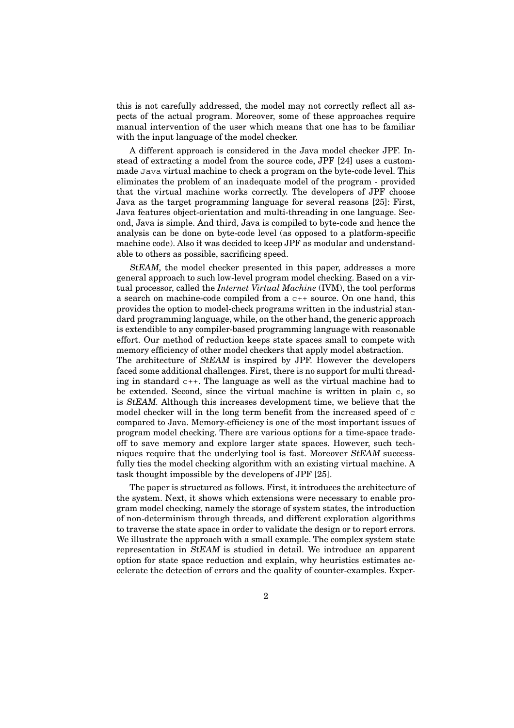this is not carefully addressed, the model may not correctly reflect all aspects of the actual program. Moreover, some of these approaches require manual intervention of the user which means that one has to be familiar with the input language of the model checker.

A different approach is considered in the Java model checker JPF. Instead of extracting a model from the source code, JPF [24] uses a custommade Java virtual machine to check a program on the byte-code level. This eliminates the problem of an inadequate model of the program - provided that the virtual machine works correctly. The developers of JPF choose Java as the target programming language for several reasons [25]: First, Java features object-orientation and multi-threading in one language. Second, Java is simple. And third, Java is compiled to byte-code and hence the analysis can be done on byte-code level (as opposed to a platform-specific machine code). Also it was decided to keep JPF as modular and understandable to others as possible, sacrificing speed.

StEAM, the model checker presented in this paper, addresses a more general approach to such low-level program model checking. Based on a virtual processor, called the *Internet Virtual Machine* (IVM), the tool performs a search on machine-code compiled from a  $c++$  source. On one hand, this provides the option to model-check programs written in the industrial standard programming language, while, on the other hand, the generic approach is extendible to any compiler-based programming language with reasonable effort. Our method of reduction keeps state spaces small to compete with memory efficiency of other model checkers that apply model abstraction. The architecture of StEAM is inspired by JPF. However the developers faced some additional challenges. First, there is no support for multi threading in standard c++. The language as well as the virtual machine had to be extended. Second, since the virtual machine is written in plain c, so is StEAM. Although this increases development time, we believe that the model checker will in the long term benefit from the increased speed of  $\sigma$ compared to Java. Memory-efficiency is one of the most important issues of program model checking. There are various options for a time-space tradeoff to save memory and explore larger state spaces. However, such techniques require that the underlying tool is fast. Moreover StEAM successfully ties the model checking algorithm with an existing virtual machine. A task thought impossible by the developers of JPF [25].

The paper is structured as follows. First, it introduces the architecture of the system. Next, it shows which extensions were necessary to enable program model checking, namely the storage of system states, the introduction of non-determinism through threads, and different exploration algorithms to traverse the state space in order to validate the design or to report errors. We illustrate the approach with a small example. The complex system state representation in StEAM is studied in detail. We introduce an apparent option for state space reduction and explain, why heuristics estimates accelerate the detection of errors and the quality of counter-examples. Exper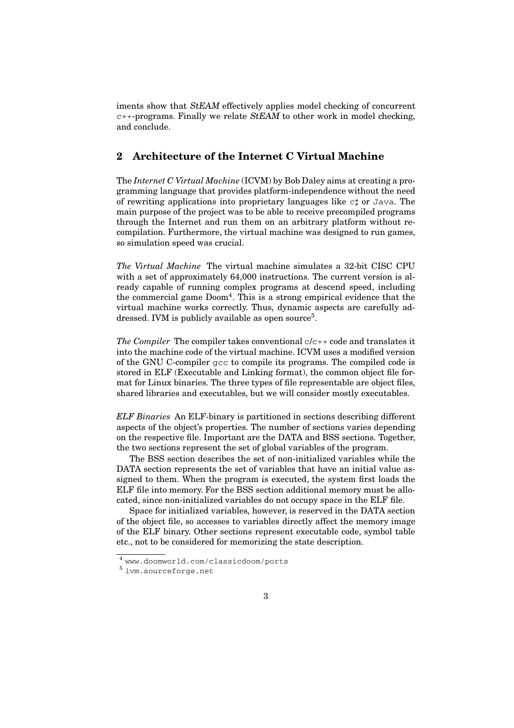iments show that StEAM effectively applies model checking of concurrent  $c++-programs.$  Finally we relate *StEAM* to other work in model checking, and conclude.

### **2 Architecture of the Internet C Virtual Machine**

The *Internet C Virtual Machine* (ICVM) by Bob Daley aims at creating a programming language that provides platform-independence without the need of rewriting applications into proprietary languages like  $C_{\perp}$  or Java. The main purpose of the project was to be able to receive precompiled programs through the Internet and run them on an arbitrary platform without recompilation. Furthermore, the virtual machine was designed to run games, so simulation speed was crucial.

*The Virtual Machine* The virtual machine simulates a 32-bit CISC CPU with a set of approximately 64,000 instructions. The current version is already capable of running complex programs at descend speed, including the commercial game Doom4. This is a strong empirical evidence that the virtual machine works correctly. Thus, dynamic aspects are carefully addressed. IVM is publicly available as open source<sup>5</sup>.

*The Compiler* The compiler takes conventional  $c/c++$  code and translates it into the machine code of the virtual machine. ICVM uses a modified version of the GNU C-compiler gcc to compile its programs. The compiled code is stored in ELF (Executable and Linking format), the common object file format for Linux binaries. The three types of file representable are object files, shared libraries and executables, but we will consider mostly executables.

*ELF Binaries* An ELF-binary is partitioned in sections describing different aspects of the object's properties. The number of sections varies depending on the respective file. Important are the DATA and BSS sections. Together, the two sections represent the set of global variables of the program.

The BSS section describes the set of non-initialized variables while the DATA section represents the set of variables that have an initial value assigned to them. When the program is executed, the system first loads the ELF file into memory. For the BSS section additional memory must be allocated, since non-initialized variables do not occupy space in the ELF file.

Space for initialized variables, however, is reserved in the DATA section of the object file, so accesses to variables directly affect the memory image of the ELF binary. Other sections represent executable code, symbol table etc., not to be considered for memorizing the state description.

<sup>4</sup> www.doomworld.com/classicdoom/ports

<sup>5</sup> ivm.sourceforge.net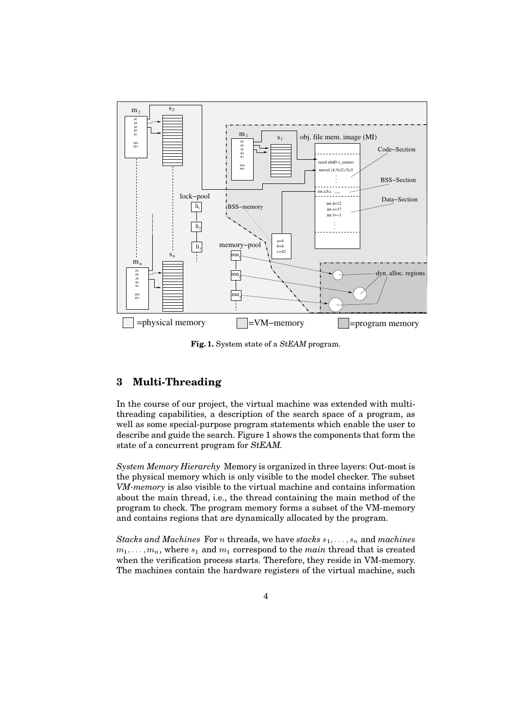

Fig. 1. System state of a StEAM program.

### **3 Multi-Threading**

In the course of our project, the virtual machine was extended with multithreading capabilities, a description of the search space of a program, as well as some special-purpose program statements which enable the user to describe and guide the search. Figure 1 shows the components that form the state of a concurrent program for StEAM.

*System Memory Hierarchy* Memory is organized in three layers: Out-most is the physical memory which is only visible to the model checker. The subset *VM-memory* is also visible to the virtual machine and contains information about the main thread, i.e., the thread containing the main method of the program to check. The program memory forms a subset of the VM-memory and contains regions that are dynamically allocated by the program.

*Stacks and Machines* For *n* threads, we have *stacks*  $s_1, \ldots, s_n$  and *machines*  $m_1, \ldots, m_n$ , where  $s_1$  and  $m_1$  correspond to the *main* thread that is created when the verification process starts. Therefore, they reside in VM-memory. The machines contain the hardware registers of the virtual machine, such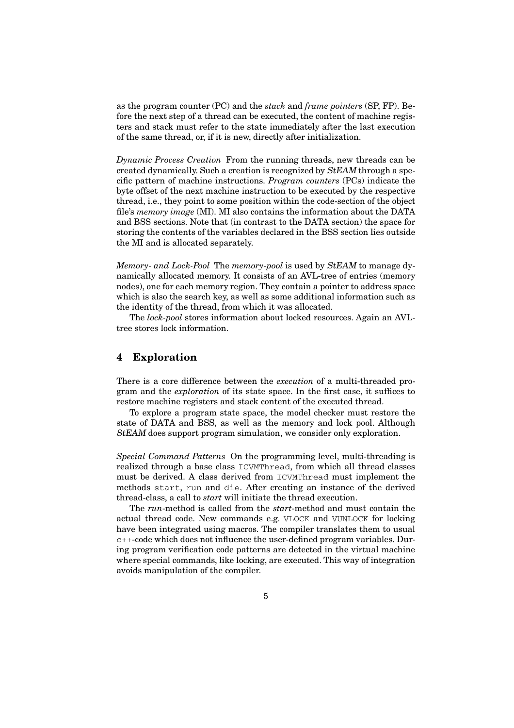as the program counter (PC) and the *stack* and *frame pointers* (SP, FP). Before the next step of a thread can be executed, the content of machine registers and stack must refer to the state immediately after the last execution of the same thread, or, if it is new, directly after initialization.

*Dynamic Process Creation* From the running threads, new threads can be created dynamically. Such a creation is recognized by StEAM through a specific pattern of machine instructions. *Program counters* (PCs) indicate the byte offset of the next machine instruction to be executed by the respective thread, i.e., they point to some position within the code-section of the object file's *memory image* (MI). MI also contains the information about the DATA and BSS sections. Note that (in contrast to the DATA section) the space for storing the contents of the variables declared in the BSS section lies outside the MI and is allocated separately.

*Memory- and Lock-Pool* The *memory-pool* is used by StEAM to manage dynamically allocated memory. It consists of an AVL-tree of entries (memory nodes), one for each memory region. They contain a pointer to address space which is also the search key, as well as some additional information such as the identity of the thread, from which it was allocated.

The *lock-pool* stores information about locked resources. Again an AVLtree stores lock information.

### **4 Exploration**

There is a core difference between the *execution* of a multi-threaded program and the *exploration* of its state space. In the first case, it suffices to restore machine registers and stack content of the executed thread.

To explore a program state space, the model checker must restore the state of DATA and BSS, as well as the memory and lock pool. Although StEAM does support program simulation, we consider only exploration.

*Special Command Patterns* On the programming level, multi-threading is realized through a base class ICVMThread, from which all thread classes must be derived. A class derived from ICVMThread must implement the methods start, run and die. After creating an instance of the derived thread-class, a call to *start* will initiate the thread execution.

The *run*-method is called from the *start*-method and must contain the actual thread code. New commands e.g. VLOCK and VUNLOCK for locking have been integrated using macros. The compiler translates them to usual c++-code which does not influence the user-defined program variables. During program verification code patterns are detected in the virtual machine where special commands, like locking, are executed. This way of integration avoids manipulation of the compiler.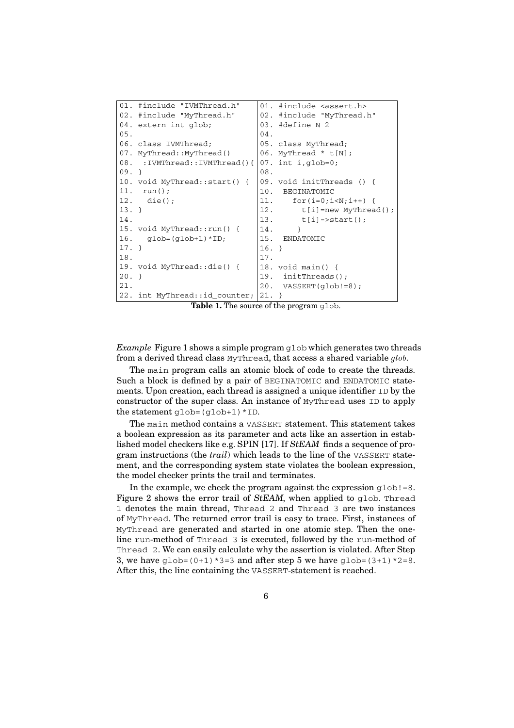```
01. #include "IVMThread.h"
02. #include "MyThread.h"
04. extern int glob;
05.
06. class IVMThread;
07. MyThread::MyThread()
08. :IVMThread::IVMThread(){
09. }
10. void MyThread::start() {
11. run();
12. die();
13. }
14.
15. void MyThread::run() {
16. glob=(glob+1)*ID;
17. }
18.
19. void MyThread::die() {
20. }
21.
22. int MyThread::id_counter;
21. }
                              01. #include <assert.h>
                              02. #include "MyThread.h"
                              03. #define N 2
                              0405. class MyThread;
                              06. MyThread * t[N];
                              07. int i,glob=0;
                              08.
                              09. void initThreads () {
                              10. BEGINATOMIC
                              11. for(i=0; i < N; i++) {
                              12. t[i]=new MyThread();
                              13. t[i]->start();
                              14. }
                              15. ENDATOMIC
                              16. }
                              17.
                              18. void main() {
                              19. initThreads();
                              20. VASSERT(glob!=8);
```
Table 1. The source of the program glob.

*Example* Figure 1 shows a simple program glob which generates two threads from a derived thread class MyThread, that access a shared variable *qlob*.

The main program calls an atomic block of code to create the threads. Such a block is defined by a pair of BEGINATOMIC and ENDATOMIC statements. Upon creation, each thread is assigned a unique identifier ID by the constructor of the super class. An instance of MyThread uses ID to apply the statement  $q$ lob= $(q$ lob+1 $)$ \*ID.

The main method contains a VASSERT statement. This statement takes a boolean expression as its parameter and acts like an assertion in established model checkers like e.g. SPIN [17]. If StEAM finds a sequence of program instructions (the *trail*) which leads to the line of the VASSERT statement, and the corresponding system state violates the boolean expression, the model checker prints the trail and terminates.

In the example, we check the program against the expression  $q_{\text{lob}} = 8$ . Figure 2 shows the error trail of StEAM, when applied to glob. Thread 1 denotes the main thread, Thread 2 and Thread 3 are two instances of MyThread. The returned error trail is easy to trace. First, instances of MyThread are generated and started in one atomic step. Then the oneline run-method of Thread 3 is executed, followed by the run-method of Thread 2. We can easily calculate why the assertion is violated. After Step 3, we have  $q \text{lob} = (0+1) * 3 = 3$  and after step 5 we have  $q \text{lob} = (3+1) * 2 = 8$ . After this, the line containing the VASSERT-statement is reached.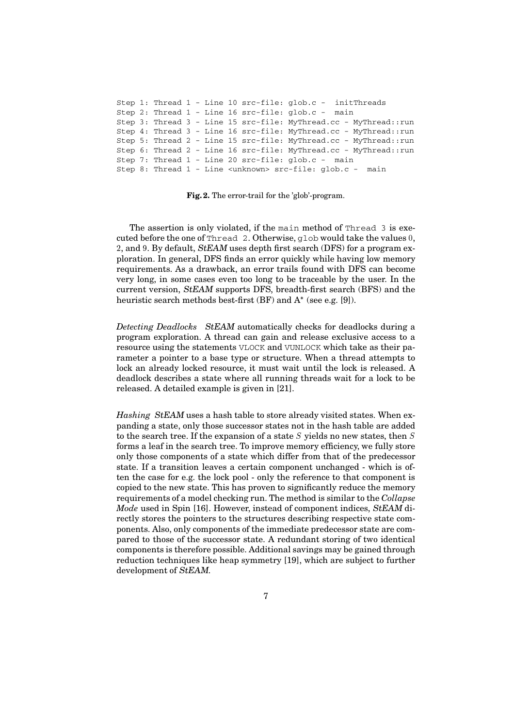Step 1: Thread 1 - Line 10 src-file: glob.c - initThreads Step 2: Thread 1 - Line 16 src-file: glob.c - main Step 3: Thread 3 - Line 15 src-file: MyThread.cc - MyThread::run Step 4: Thread 3 - Line 16 src-file: MyThread.cc - MyThread::run Step 5: Thread 2 - Line 15 src-file: MyThread.cc - MyThread::run Step 6: Thread 2 - Line 16 src-file: MyThread.cc - MyThread::run Step 7: Thread 1 - Line 20 src-file: glob.c - main Step 8: Thread 1 - Line <unknown> src-file: glob.c - main

**Fig. 2.** The error-trail for the 'glob'-program.

The assertion is only violated, if the main method of Thread 3 is executed before the one of Thread 2. Otherwise,  $q$ lob would take the values  $0$ , <sup>2</sup>, and <sup>9</sup>. By default, StEAM uses depth first search (DFS) for a program exploration. In general, DFS finds an error quickly while having low memory requirements. As a drawback, an error trails found with DFS can become very long, in some cases even too long to be traceable by the user. In the current version, StEAM supports DFS, breadth-first search (BFS) and the heuristic search methods best-first (BF) and A<sup>\*</sup> (see e.g. [9]).

*Detecting Deadlocks* StEAM automatically checks for deadlocks during a program exploration. A thread can gain and release exclusive access to a resource using the statements VLOCK and VUNLOCK which take as their parameter a pointer to a base type or structure. When a thread attempts to lock an already locked resource, it must wait until the lock is released. A deadlock describes a state where all running threads wait for a lock to be released. A detailed example is given in [21].

*Hashing* StEAM uses a hash table to store already visited states. When expanding a state, only those successor states not in the hash table are added to the search tree. If the expansion of a state  $S$  yields no new states, then  $S$ forms a leaf in the search tree. To improve memory efficiency, we fully store only those components of a state which differ from that of the predecessor state. If a transition leaves a certain component unchanged - which is often the case for e.g. the lock pool - only the reference to that component is copied to the new state. This has proven to significantly reduce the memory requirements of a model checking run. The method is similar to the *Collapse Mode* used in Spin [16]. However, instead of component indices, StEAM directly stores the pointers to the structures describing respective state components. Also, only components of the immediate predecessor state are compared to those of the successor state. A redundant storing of two identical components is therefore possible. Additional savings may be gained through reduction techniques like heap symmetry [19], which are subject to further development of StEAM.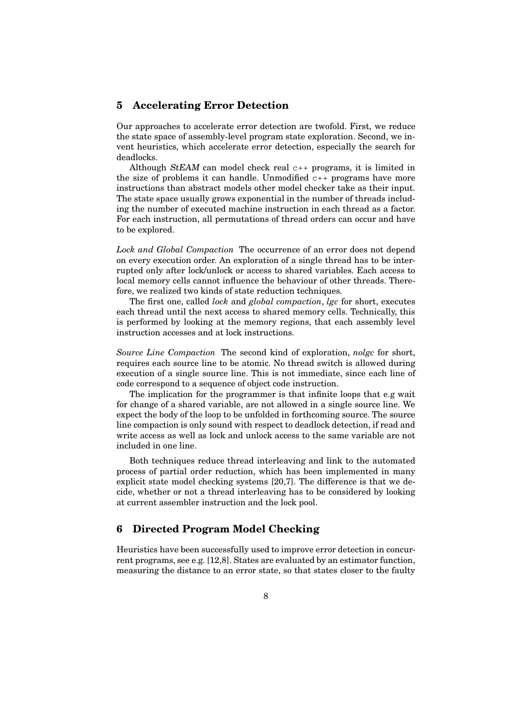#### **5 Accelerating Error Detection**

Our approaches to accelerate error detection are twofold. First, we reduce the state space of assembly-level program state exploration. Second, we invent heuristics, which accelerate error detection, especially the search for deadlocks.

Although StEAM can model check real c++ programs, it is limited in the size of problems it can handle. Unmodified  $c++$  programs have more instructions than abstract models other model checker take as their input. The state space usually grows exponential in the number of threads including the number of executed machine instruction in each thread as a factor. For each instruction, all permutations of thread orders can occur and have to be explored.

*Lock and Global Compaction* The occurrence of an error does not depend on every execution order. An exploration of a single thread has to be interrupted only after lock/unlock or access to shared variables. Each access to local memory cells cannot influence the behaviour of other threads. Therefore, we realized two kinds of state reduction techniques.

The first one, called *lock* and *global compaction*, *lgc* for short, executes each thread until the next access to shared memory cells. Technically, this is performed by looking at the memory regions, that each assembly level instruction accesses and at lock instructions.

*Source Line Compaction* The second kind of exploration, *nolgc* for short, requires each source line to be atomic. No thread switch is allowed during execution of a single source line. This is not immediate, since each line of code correspond to a sequence of object code instruction.

The implication for the programmer is that infinite loops that e.g wait for change of a shared variable, are not allowed in a single source line. We expect the body of the loop to be unfolded in forthcoming source. The source line compaction is only sound with respect to deadlock detection, if read and write access as well as lock and unlock access to the same variable are not included in one line.

Both techniques reduce thread interleaving and link to the automated process of partial order reduction, which has been implemented in many explicit state model checking systems [20,7]. The difference is that we decide, whether or not a thread interleaving has to be considered by looking at current assembler instruction and the lock pool.

## **6 Directed Program Model Checking**

Heuristics have been successfully used to improve error detection in concurrent programs, see e.g. [12,8]. States are evaluated by an estimator function, measuring the distance to an error state, so that states closer to the faulty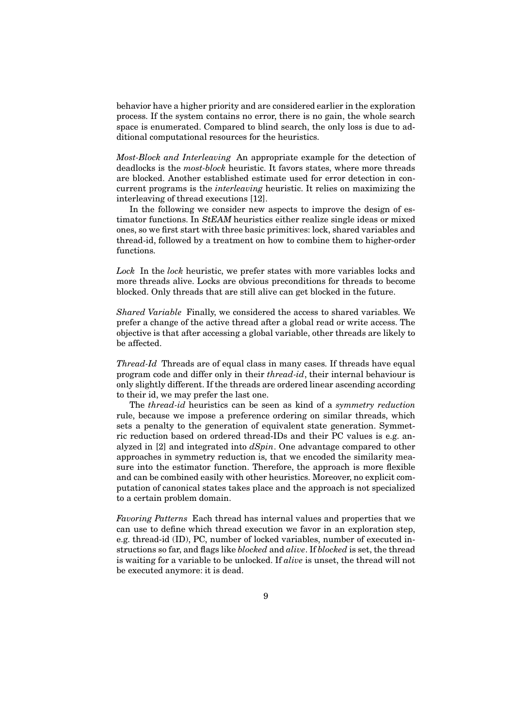behavior have a higher priority and are considered earlier in the exploration process. If the system contains no error, there is no gain, the whole search space is enumerated. Compared to blind search, the only loss is due to additional computational resources for the heuristics.

*Most-Block and Interleaving* An appropriate example for the detection of deadlocks is the *most-block* heuristic. It favors states, where more threads are blocked. Another established estimate used for error detection in concurrent programs is the *interleaving* heuristic. It relies on maximizing the interleaving of thread executions [12].

In the following we consider new aspects to improve the design of estimator functions. In StEAM heuristics either realize single ideas or mixed ones, so we first start with three basic primitives: lock, shared variables and thread-id, followed by a treatment on how to combine them to higher-order functions.

*Lock* In the *lock* heuristic, we prefer states with more variables locks and more threads alive. Locks are obvious preconditions for threads to become blocked. Only threads that are still alive can get blocked in the future.

*Shared Variable* Finally, we considered the access to shared variables. We prefer a change of the active thread after a global read or write access. The objective is that after accessing a global variable, other threads are likely to be affected.

*Thread-Id* Threads are of equal class in many cases. If threads have equal program code and differ only in their *thread-id*, their internal behaviour is only slightly different. If the threads are ordered linear ascending according to their id, we may prefer the last one.

The *thread-id* heuristics can be seen as kind of a *symmetry reduction* rule, because we impose a preference ordering on similar threads, which sets a penalty to the generation of equivalent state generation. Symmetric reduction based on ordered thread-IDs and their PC values is e.g. analyzed in [2] and integrated into *dSpin*. One advantage compared to other approaches in symmetry reduction is, that we encoded the similarity measure into the estimator function. Therefore, the approach is more flexible and can be combined easily with other heuristics. Moreover, no explicit computation of canonical states takes place and the approach is not specialized to a certain problem domain.

*Favoring Patterns* Each thread has internal values and properties that we can use to define which thread execution we favor in an exploration step, e.g. thread-id (ID), PC, number of locked variables, number of executed instructions so far, and flags like *blocked* and *alive*. If *blocked* is set, the thread is waiting for a variable to be unlocked. If *alive* is unset, the thread will not be executed anymore: it is dead.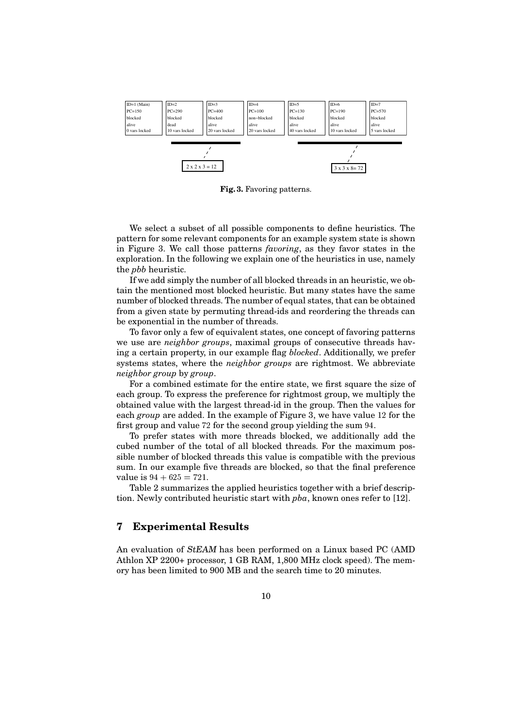![](_page_9_Figure_0.jpeg)

**Fig. 3.** Favoring patterns.

We select a subset of all possible components to define heuristics. The pattern for some relevant components for an example system state is shown in Figure 3. We call those patterns *favoring*, as they favor states in the exploration. In the following we explain one of the heuristics in use, namely the *pbb* heuristic.

If we add simply the number of all blocked threads in an heuristic, we obtain the mentioned most blocked heuristic. But many states have the same number of blocked threads. The number of equal states, that can be obtained from a given state by permuting thread-ids and reordering the threads can be exponential in the number of threads.

To favor only a few of equivalent states, one concept of favoring patterns we use are *neighbor groups*, maximal groups of consecutive threads having a certain property, in our example flag *blocked*. Additionally, we prefer systems states, where the *neighbor groups* are rightmost. We abbreviate *neighbor group* by *group*.

For a combined estimate for the entire state, we first square the size of each group. To express the preference for rightmost group, we multiply the obtained value with the largest thread-id in the group. Then the values for each *group* are added. In the example of Figure 3, we have value <sup>12</sup> for the first group and value <sup>72</sup> for the second group yielding the sum <sup>94</sup>.

To prefer states with more threads blocked, we additionally add the cubed number of the total of all blocked threads. For the maximum possible number of blocked threads this value is compatible with the previous sum. In our example five threads are blocked, so that the final preference value is  $94 + 625 = 721$ .

Table 2 summarizes the applied heuristics together with a brief description. Newly contributed heuristic start with *pba*, known ones refer to [12].

### **7 Experimental Results**

An evaluation of StEAM has been performed on a Linux based PC (AMD Athlon XP 2200+ processor, 1 GB RAM, 1,800 MHz clock speed). The memory has been limited to 900 MB and the search time to 20 minutes.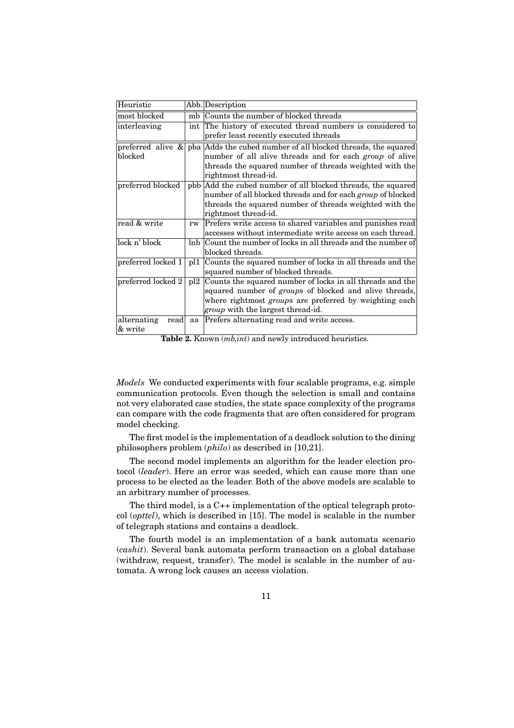| Heuristic           |    | Abb. Description                                                                   |
|---------------------|----|------------------------------------------------------------------------------------|
| most blocked        |    | mb Counts the number of blocked threads                                            |
| interleaving        |    | int The history of executed thread numbers is considered to                        |
|                     |    | prefer least recently executed threads                                             |
|                     |    | preferred alive $\&$ pba Adds the cubed number of all blocked threads, the squared |
| blocked             |    | number of all alive threads and for each <i>group</i> of alive                     |
|                     |    | threads the squared number of threads weighted with the                            |
|                     |    | rightmost thread-id.                                                               |
| preferred blocked   |    | pbb Add the cubed number of all blocked threads, the squared                       |
|                     |    | number of all blocked threads and for each group of blocked                        |
|                     |    | threads the squared number of threads weighted with the                            |
|                     |    | rightmost thread-id.                                                               |
| read & write        | rw | Prefers write access to shared variables and punishes read                         |
|                     |    | accesses without intermediate write access on each thread.                         |
| lock n' block       |    | lnb Count the number of locks in all threads and the number of                     |
|                     |    | blocked threads.                                                                   |
| preferred locked 1  |    | pl1 Counts the squared number of locks in all threads and the                      |
|                     |    | squared number of blocked threads.                                                 |
| preferred locked 2  |    | pl2 Counts the squared number of locks in all threads and the                      |
|                     |    | squared number of groups of blocked and alive threads,                             |
|                     |    | where rightmost groups are preferred by weighting each                             |
|                     |    | group with the largest thread-id.                                                  |
| alternating<br>read | aa | Prefers alternating read and write access.                                         |
| & write             |    |                                                                                    |

**Table 2.** Known (*mb,int*) and newly introduced heuristics.

*Models* We conducted experiments with four scalable programs, e.g. simple communication protocols. Even though the selection is small and contains not very elaborated case studies, the state space complexity of the programs can compare with the code fragments that are often considered for program model checking.

The first model is the implementation of a deadlock solution to the dining philosophers problem (*philo*) as described in [10,21].

The second model implements an algorithm for the leader election protocol (*leader*). Here an error was seeded, which can cause more than one process to be elected as the leader. Both of the above models are scalable to an arbitrary number of processes.

The third model, is a C++ implementation of the optical telegraph protocol (*opttel*), which is described in [15]. The model is scalable in the number of telegraph stations and contains a deadlock.

The fourth model is an implementation of a bank automata scenario (*cashit*). Several bank automata perform transaction on a global database (withdraw, request, transfer). The model is scalable in the number of automata. A wrong lock causes an access violation.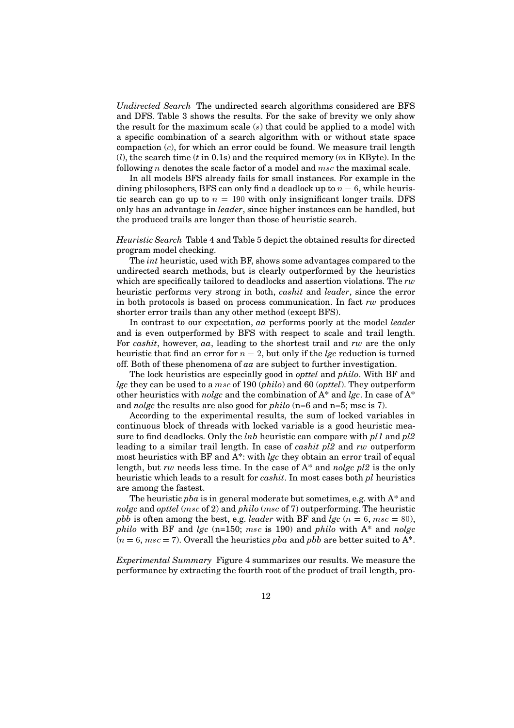*Undirected Search* The undirected search algorithms considered are BFS and DFS. Table 3 shows the results. For the sake of brevity we only show the result for the maximum scale  $(s)$  that could be applied to a model with a specific combination of a search algorithm with or without state space compaction  $(c)$ , for which an error could be found. We measure trail length  $(l)$ , the search time (t in 0.1s) and the required memory (m in KByte). In the following  $n$  denotes the scale factor of a model and  $msc$  the maximal scale.

In all models BFS already fails for small instances. For example in the dining philosophers, BFS can only find a deadlock up to  $n = 6$ , while heuristic search can go up to  $n = 190$  with only insignificant longer trails. DFS only has an advantage in *leader*, since higher instances can be handled, but the produced trails are longer than those of heuristic search.

*Heuristic Search* Table 4 and Table 5 depict the obtained results for directed program model checking.

The *int* heuristic, used with BF, shows some advantages compared to the undirected search methods, but is clearly outperformed by the heuristics which are specifically tailored to deadlocks and assertion violations. The *rw* heuristic performs very strong in both, *cashit* and *leader*, since the error in both protocols is based on process communication. In fact *rw* produces shorter error trails than any other method (except BFS).

In contrast to our expectation, *aa* performs poorly at the model *leader* and is even outperformed by BFS with respect to scale and trail length. For *cashit*, however, *aa*, leading to the shortest trail and *rw* are the only heuristic that find an error for  $n = 2$ , but only if the *lgc* reduction is turned off. Both of these phenomena of *aa* are subject to further investigation.

The lock heuristics are especially good in *opttel* and *philo*. With BF and *lgc* they can be used to a msc of 190 (*philo*) and 60 (*opttel*). They outperform other heuristics with *nolgc* and the combination of A\* and *lgc*. In case of A\* and *nolgc* the results are also good for *philo* (n=6 and n=5; msc is 7).

According to the experimental results, the sum of locked variables in continuous block of threads with locked variable is a good heuristic measure to find deadlocks. Only the *lnb* heuristic can compare with *pl1* and *pl2* leading to a similar trail length. In case of *cashit pl2* and *rw* outperform most heuristics with BF and A\*: with *lgc* they obtain an error trail of equal length, but *rw* needs less time. In the case of A\* and *nolgc pl2* is the only heuristic which leads to a result for *cashit*. In most cases both *pl* heuristics are among the fastest.

The heuristic *pba* is in general moderate but sometimes, e.g. with A\* and *nolgc* and *opttel* (msc of 2) and *philo* (msc of 7) outperforming. The heuristic *pbb* is often among the best, e.g. *leader* with BF and *lgc* ( $n = 6$ ,  $msc = 80$ ). *philo* with BF and *lgc* (n=150; msc is 190) and *philo* with A\* and *nolgc*  $(n = 6, msc = 7)$ . Overall the heuristics *pba* and *pbb* are better suited to A<sup>\*</sup>.

*Experimental Summary* Figure 4 summarizes our results. We measure the performance by extracting the fourth root of the product of trail length, pro-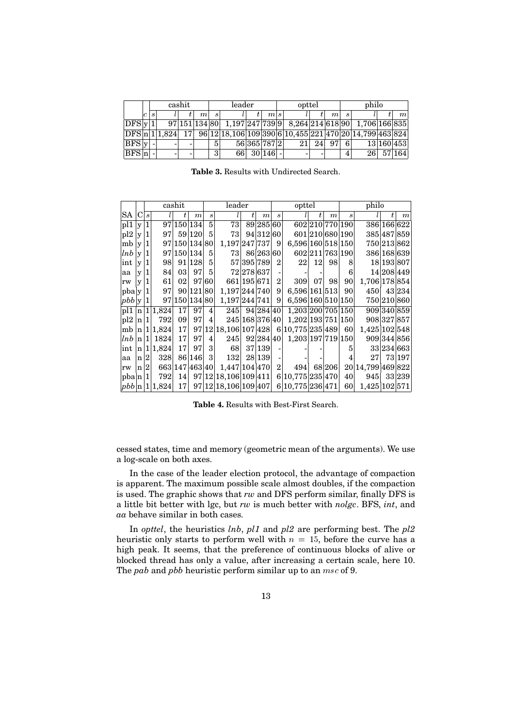|                         |     |                          | cashit        |                |          | leader                                                  |              | opttel                                           |           |                |      | philo |            |     |
|-------------------------|-----|--------------------------|---------------|----------------|----------|---------------------------------------------------------|--------------|--------------------------------------------------|-----------|----------------|------|-------|------------|-----|
|                         | c s |                          |               | m <sub>l</sub> |          |                                                         | $m$ s        |                                                  |           | m <sub>l</sub> | -S I |       |            | m   |
| DFS <sub>V</sub> 1      |     |                          | 97 151 134 80 |                |          |                                                         |              | 1,197 247 739 9  8,264 214 618 90  1,706 166 835 |           |                |      |       |            |     |
|                         |     | DFS <sub>n</sub> 111.824 | 17            |                |          | 96 12 18.106 109 390 6 10.455 221 470 20 14.799 463 824 |              |                                                  |           |                |      |       |            |     |
| <b>BFS</b> <sub>v</sub> |     |                          |               |                |          |                                                         | 56 365 787 2 | 21                                               | <b>24</b> | 971            | 6    |       | 13 160 453 |     |
| BFS <sub>n</sub>        |     |                          |               |                | $\Omega$ | 661                                                     | 30 146       |                                                  | -         |                |      | 26    |            | 164 |

**Table 3.** Results with Undirected Search.

|                      |  | cashit                               |               |          | leader           |                                                                                      |              |                     |              | opttel                                  |           |     | philo            |                    |  |                  |  |  |
|----------------------|--|--------------------------------------|---------------|----------|------------------|--------------------------------------------------------------------------------------|--------------|---------------------|--------------|-----------------------------------------|-----------|-----|------------------|--------------------|--|------------------|--|--|
| $SA$ $C\overline{s}$ |  |                                      | ŧ             | m        | $\boldsymbol{s}$ |                                                                                      | $t_{\rm l}$  | $\lfloor m \rfloor$ | $\mathbf{s}$ |                                         | ŧ         | m   | $\boldsymbol{s}$ |                    |  | $\boldsymbol{m}$ |  |  |
| $p11$ y 1            |  |                                      | 97 150 134    |          | 5 <sup>1</sup>   |                                                                                      | 73 89 285 60 |                     |              |                                         |           |     | 602 210 770 190  |                    |  | 386 166 622      |  |  |
| p 2 y 1              |  | 97                                   |               | 59 120 5 |                  |                                                                                      | 73 94 312 60 |                     |              |                                         |           |     | 601 210 680 190  |                    |  | 385 487 859      |  |  |
| $mb \,  y 1$         |  |                                      | 97 150 134 80 |          |                  |                                                                                      |              |                     |              | 1,197 247 737 9 6,596 160 518 150       |           |     |                  |                    |  | 750 213 862      |  |  |
| $lnb$ y  1           |  |                                      | 97 150 134 5  |          |                  |                                                                                      | 73 86 263 60 |                     |              | 602 211 763 190                         |           |     |                  |                    |  | 386 168 639      |  |  |
| int $ y 1 $          |  |                                      | 98 91 128 5   |          |                  |                                                                                      | 57 395 789 2 |                     |              | 22                                      | <b>12</b> | 981 | 8                |                    |  | 18 193 807       |  |  |
| aa $ y 1 $           |  |                                      | 84 03 97 5    |          |                  |                                                                                      | 72 278 637   |                     |              |                                         |           |     | 6                |                    |  | 14 208 449       |  |  |
| rw $ y 1 $           |  | 61                                   |               | 02 97 60 |                  | 661 195 671 2                                                                        |              |                     |              | 309 07 98 90                            |           |     |                  | 1,706 178 854      |  |                  |  |  |
| pba y 1              |  |                                      | 97 90 121 80  |          |                  |                                                                                      |              |                     |              | $1,197 244 740 $ 9 6,596 161 513 90     |           |     |                  |                    |  | 450 43 234       |  |  |
| $pbb$ y $ 1 $        |  |                                      | 97 150 134 80 |          |                  |                                                                                      |              |                     |              | $1,197$ 244 741   9   6,596 160 510 150 |           |     |                  | 750 210 860        |  |                  |  |  |
|                      |  | pl1  n   1   1,824   17              |               | 9741     |                  |                                                                                      |              |                     |              | 245 94 284 40 1,203 200 705 150         |           |     |                  |                    |  | 909 340 859      |  |  |
|                      |  | $ p 2 n 1 $ 792   09   97   4        |               |          |                  |                                                                                      |              |                     |              | 245 168 376 40 1,202 193 751 150        |           |     |                  | 908 327 857        |  |                  |  |  |
|                      |  |                                      |               |          |                  | mb $ n 1 1,824$ 17 97 12 18, 106 107 428 6 10, 775 235 489 60                        |              |                     |              |                                         |           |     |                  | 1,425 102 548      |  |                  |  |  |
|                      |  | $\ln b$   n   1   1824   17   97   4 |               |          |                  |                                                                                      |              |                     |              | 245 92 284 40 1,203 197 719 150         |           |     |                  |                    |  | 909 344 856      |  |  |
|                      |  | int $ n 1 1,824$ 17 97 3             |               |          |                  |                                                                                      | 68 37 139    |                     |              |                                         |           |     | 5                |                    |  | 33 234 663       |  |  |
| aa $ n 2 $           |  | 328 86 146 3                         |               |          |                  | 132 28 139                                                                           |              |                     |              |                                         |           |     | 4                |                    |  | 27 73 197        |  |  |
| rw n 2               |  |                                      |               |          |                  | 663 147 463 40 1,447 104 470 2 494 68 206                                            |              |                     |              |                                         |           |     |                  | 20 14, 799 469 822 |  |                  |  |  |
|                      |  |                                      |               |          |                  | pba n 1    792   14   97 12 18,106 109 411   6 10,775 235 470   40      945   33 239 |              |                     |              |                                         |           |     |                  |                    |  |                  |  |  |
|                      |  |                                      |               |          |                  | pbb n 1 1,824  17  97 12 18,106 109 407  6 10,775 236 471  60  1,425 102 571         |              |                     |              |                                         |           |     |                  |                    |  |                  |  |  |

**Table 4.** Results with Best-First Search.

cessed states, time and memory (geometric mean of the arguments). We use a log-scale on both axes.

In the case of the leader election protocol, the advantage of compaction is apparent. The maximum possible scale almost doubles, if the compaction is used. The graphic shows that *rw* and DFS perform similar, finally DFS is a little bit better with lgc, but *rw* is much better with *nolgc*. BFS, *int*, and *aa* behave similar in both cases.

In *opttel*, the heuristics *lnb*, *pl1* and *pl2* are performing best. The *pl2* heuristic only starts to perform well with  $n = 15$ , before the curve has a high peak. It seems, that the preference of continuous blocks of alive or blocked thread has only a value, after increasing a certain scale, here 10. The *pab* and *pbb* heuristic perform similar up to an msc of 9.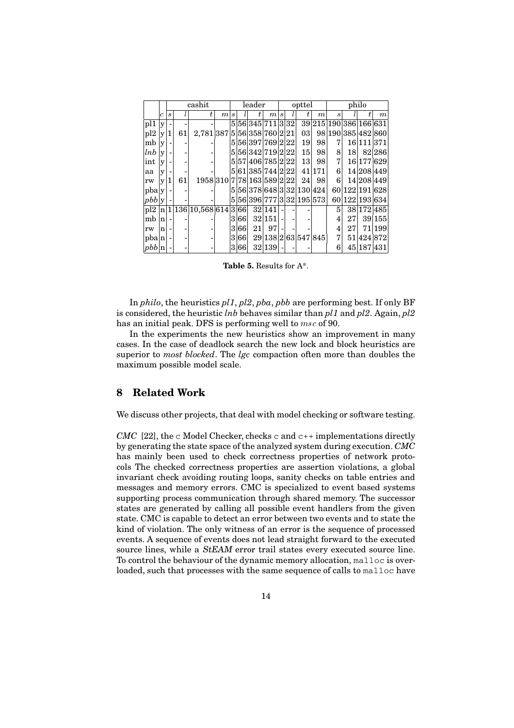|           |                     | cashit         |    |                             |                     |   | leader |           |                | opttel |                           | philo  |                |                        |            |                  |
|-----------|---------------------|----------------|----|-----------------------------|---------------------|---|--------|-----------|----------------|--------|---------------------------|--------|----------------|------------------------|------------|------------------|
|           |                     | S              |    |                             | $\lfloor m \rfloor$ | S |        |           | m/s            |        |                           | $\,m$  | s              |                        |            | $\boldsymbol{m}$ |
| pl1 y     |                     |                |    |                             |                     |   |        |           | 5563457113321  |        |                           |        |                | 39 215 190 386 166 631 |            |                  |
| p12       |                     | v <sub>1</sub> | 61 | 2,781 387 5 56 358 760 2 21 |                     |   |        |           |                |        | 03                        |        |                | 98 190 385 482 860     |            |                  |
| mb y      |                     |                |    |                             |                     |   |        |           | 5565977692221  |        | 19                        | 98     | 7              |                        | 16 111 371 |                  |
| lnb       | v                   |                |    |                             |                     |   |        |           | 556342719222   |        | 15                        | 98     | 8              |                        |            | 18 82 286        |
| int       | V                   |                |    |                             |                     |   |        |           | 55754067852221 |        | 13                        | 98     | $\overline{7}$ |                        |            | 16 177 629       |
| aa        | $\mathbf v$         |                |    |                             |                     |   |        |           | 5613857442221  |        |                           | 41 171 | 6              |                        | 14 208 449 |                  |
| rw        | v 1                 |                | 61 | 1958 310 7 78 163 589 2 22  |                     |   |        |           |                |        | <b>24</b>                 | 98     | 61             |                        | 14 208 449 |                  |
| pba y     |                     |                |    |                             |                     |   |        |           |                |        | 556378648332130424        |        |                | 60 122 191 628         |            |                  |
| $pbb$ y   |                     |                |    |                             |                     |   |        |           |                |        | 5 56 396 777 3 32 195 573 |        |                | 60 122 193 634         |            |                  |
|           |                     |                |    | pl2 n 1 136 10,568 614 3 66 |                     |   |        |           | 32 141         |        |                           |        | 5 <sup>1</sup> |                        |            | 38 172 485       |
| mb n      |                     |                |    |                             |                     |   | 366    |           | 32 151         |        |                           |        | 4              | 27 <sub>l</sub>        |            | 39 155           |
| rw        | $\lfloor n \rfloor$ |                |    |                             |                     |   | 366    | <b>21</b> | 97             |        |                           |        | 4              | 27 <sup>1</sup>        |            | 71 199           |
| $pba n$ - |                     |                |    |                             |                     |   | 366    |           |                |        | 29 138 2 63 547 845       |        | 7              |                        |            | 51 424 872       |
| $pbb$ n - |                     |                |    |                             |                     |   | 366    |           | 32 139         |        |                           |        | 6              |                        | 45 187 431 |                  |

**Table 5.** Results for A\*.

In *philo*, the heuristics *pl1*, *pl2*, *pba*, *pbb* are performing best. If only BF is considered, the heuristic *lnb* behaves similar than *pl1* and *pl2*. Again, *pl2* has an initial peak. DFS is performing well to msc of 90.

In the experiments the new heuristics show an improvement in many cases. In the case of deadlock search the new lock and block heuristics are superior to *most blocked*. The *lgc* compaction often more than doubles the maximum possible model scale.

## **8 Related Work**

We discuss other projects, that deal with model checking or software testing.

*CMC* [22], the c Model Checker, checks c and  $c++$  implementations directly by generating the state space of the analyzed system during execution. *CMC* has mainly been used to check correctness properties of network protocols The checked correctness properties are assertion violations, a global invariant check avoiding routing loops, sanity checks on table entries and messages and memory errors. CMC is specialized to event based systems supporting process communication through shared memory. The successor states are generated by calling all possible event handlers from the given state. CMC is capable to detect an error between two events and to state the kind of violation. The only witness of an error is the sequence of processed events. A sequence of events does not lead straight forward to the executed source lines, while a StEAM error trail states every executed source line. To control the behaviour of the dynamic memory allocation, malloc is overloaded, such that processes with the same sequence of calls to malloc have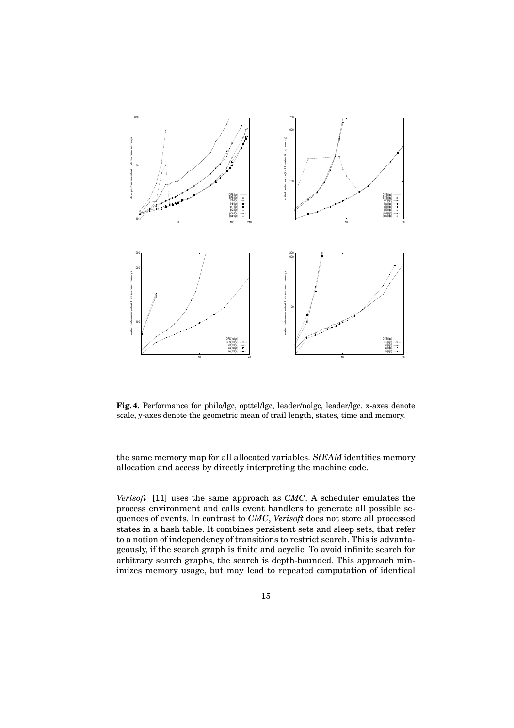![](_page_14_Figure_0.jpeg)

**Fig. 4.** Performance for philo/lgc, opttel/lgc, leader/nolgc, leader/lgc. x-axes denote scale, y-axes denote the geometric mean of trail length, states, time and memory.

the same memory map for all allocated variables. StEAM identifies memory allocation and access by directly interpreting the machine code.

*Verisoft* [11] uses the same approach as *CMC*. A scheduler emulates the process environment and calls event handlers to generate all possible sequences of events. In contrast to *CMC*, *Verisoft* does not store all processed states in a hash table. It combines persistent sets and sleep sets, that refer to a notion of independency of transitions to restrict search. This is advantageously, if the search graph is finite and acyclic. To avoid infinite search for arbitrary search graphs, the search is depth-bounded. This approach minimizes memory usage, but may lead to repeated computation of identical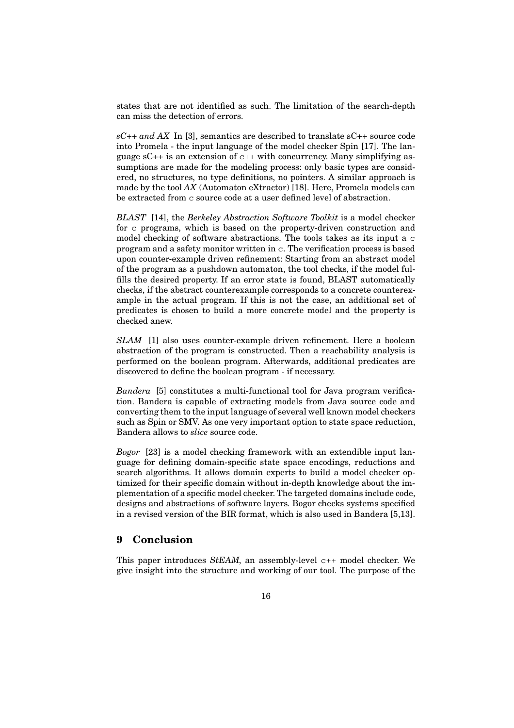states that are not identified as such. The limitation of the search-depth can miss the detection of errors.

*sC++ and AX* In [3], semantics are described to translate sC++ source code into Promela - the input language of the model checker Spin [17]. The language  $sC++$  is an extension of  $c++$  with concurrency. Many simplifying assumptions are made for the modeling process: only basic types are considered, no structures, no type definitions, no pointers. A similar approach is made by the tool *AX* (Automaton eXtractor) [18]. Here, Promela models can be extracted from c source code at a user defined level of abstraction.

*BLAST* [14], the *Berkeley Abstraction Software Toolkit* is a model checker for c programs, which is based on the property-driven construction and model checking of software abstractions. The tools takes as its input a c program and a safety monitor written in c. The verification process is based upon counter-example driven refinement: Starting from an abstract model of the program as a pushdown automaton, the tool checks, if the model fulfills the desired property. If an error state is found, BLAST automatically checks, if the abstract counterexample corresponds to a concrete counterexample in the actual program. If this is not the case, an additional set of predicates is chosen to build a more concrete model and the property is checked anew.

*SLAM* [1] also uses counter-example driven refinement. Here a boolean abstraction of the program is constructed. Then a reachability analysis is performed on the boolean program. Afterwards, additional predicates are discovered to define the boolean program - if necessary.

*Bandera* [5] constitutes a multi-functional tool for Java program verification. Bandera is capable of extracting models from Java source code and converting them to the input language of several well known model checkers such as Spin or SMV. As one very important option to state space reduction, Bandera allows to *slice* source code.

*Bogor* [23] is a model checking framework with an extendible input language for defining domain-specific state space encodings, reductions and search algorithms. It allows domain experts to build a model checker optimized for their specific domain without in-depth knowledge about the implementation of a specific model checker. The targeted domains include code, designs and abstractions of software layers. Bogor checks systems specified in a revised version of the BIR format, which is also used in Bandera [5,13].

#### **9 Conclusion**

This paper introduces StEAM, an assembly-level  $c++$  model checker. We give insight into the structure and working of our tool. The purpose of the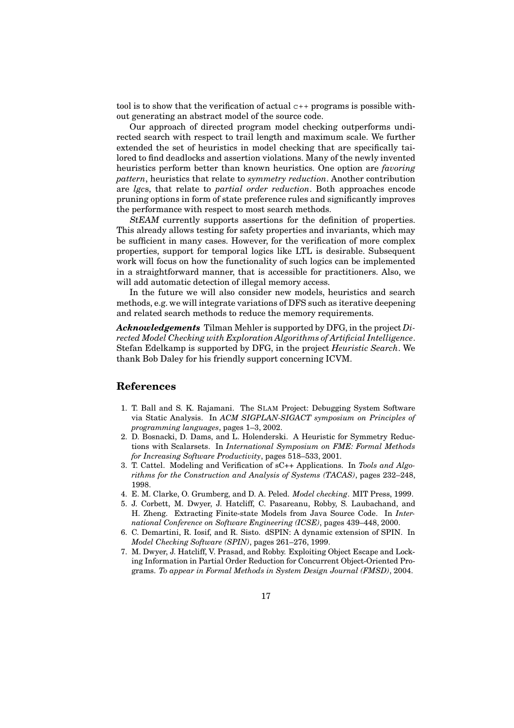tool is to show that the verification of actual  $c++$  programs is possible without generating an abstract model of the source code.

Our approach of directed program model checking outperforms undirected search with respect to trail length and maximum scale. We further extended the set of heuristics in model checking that are specifically tailored to find deadlocks and assertion violations. Many of the newly invented heuristics perform better than known heuristics. One option are *favoring pattern*, heuristics that relate to *symmetry reduction*. Another contribution are *lgc*s, that relate to *partial order reduction*. Both approaches encode pruning options in form of state preference rules and significantly improves the performance with respect to most search methods.

StEAM currently supports assertions for the definition of properties. This already allows testing for safety properties and invariants, which may be sufficient in many cases. However, for the verification of more complex properties, support for temporal logics like LTL is desirable. Subsequent work will focus on how the functionality of such logics can be implemented in a straightforward manner, that is accessible for practitioners. Also, we will add automatic detection of illegal memory access.

In the future we will also consider new models, heuristics and search methods, e.g. we will integrate variations of DFS such as iterative deepening and related search methods to reduce the memory requirements.

*Acknowledgements* Tilman Mehler is supported by DFG, in the project *Directed Model Checking with Exploration Algorithms of Artificial Intelligence*. Stefan Edelkamp is supported by DFG, in the project *Heuristic Search*. We thank Bob Daley for his friendly support concerning ICVM.

### **References**

- 1. T. Ball and S. K. Rajamani. The SLAM Project: Debugging System Software via Static Analysis. In *ACM SIGPLAN-SIGACT symposium on Principles of programming languages*, pages 1–3, 2002.
- 2. D. Bosnacki, D. Dams, and L. Holenderski. A Heuristic for Symmetry Reductions with Scalarsets. In *International Symposium on FME: Formal Methods for Increasing Software Productivity*, pages 518–533, 2001.
- 3. T. Cattel. Modeling and Verification of sC++ Applications. In *Tools and Algorithms for the Construction and Analysis of Systems (TACAS)*, pages 232–248, 1998.
- 4. E. M. Clarke, O. Grumberg, and D. A. Peled. *Model checking*. MIT Press, 1999.
- 5. J. Corbett, M. Dwyer, J. Hatcliff, C. Pasareanu, Robby, S. Laubachand, and H. Zheng. Extracting Finite-state Models from Java Source Code. In *International Conference on Software Engineering (ICSE)*, pages 439–448, 2000.
- 6. C. Demartini, R. Iosif, and R. Sisto. dSPIN: A dynamic extension of SPIN. In *Model Checking Software (SPIN)*, pages 261–276, 1999.
- 7. M. Dwyer, J. Hatcliff, V. Prasad, and Robby. Exploiting Object Escape and Locking Information in Partial Order Reduction for Concurrent Object-Oriented Programs. *To appear in Formal Methods in System Design Journal (FMSD)*, 2004.